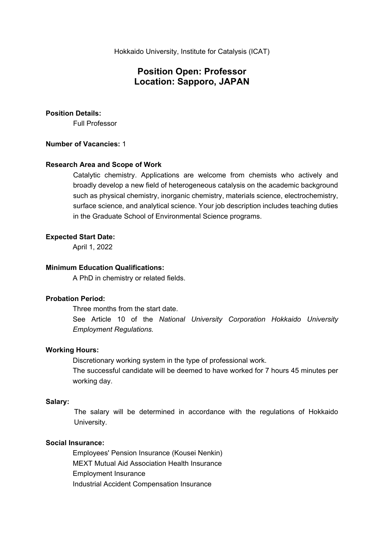# **Position Open: Professor Location: Sapporo, JAPAN**

### **Position Details:**

Full Professor

## **Number of Vacancies:** 1

## **Research Area and Scope of Work**

Catalytic chemistry. Applications are welcome from chemists who actively and broadly develop a new field of heterogeneous catalysis on the academic background such as physical chemistry, inorganic chemistry, materials science, electrochemistry, surface science, and analytical science. Your job description includes teaching duties in the Graduate School of Environmental Science programs.

## **Expected Start Date:**

April 1, 2022

# **Minimum Education Qualifications:**

A PhD in chemistry or related fields.

# **Probation Period:**

Three months from the start date.

See Article 10 of the *National University Corporation Hokkaido University Employment Regulations.* 

#### **Working Hours:**

 Discretionary working system in the type of professional work. The successful candidate will be deemed to have worked for 7 hours 45 minutes per working day.

## **Salary:**

 The salary will be determined in accordance with the regulations of Hokkaido University.

#### **Social Insurance:**

 Employees' Pension Insurance (Kousei Nenkin) MEXT Mutual Aid Association Health Insurance Employment Insurance Industrial Accident Compensation Insurance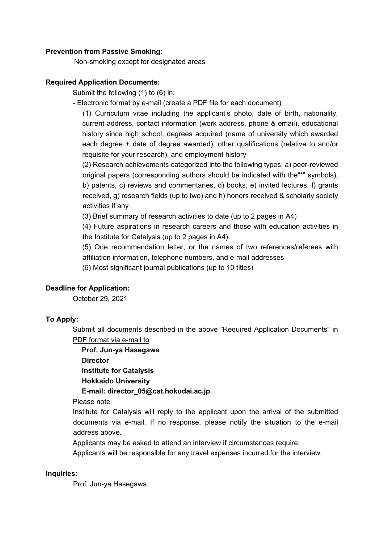# **Prevention from Passive Smoking:**

Non-smoking except for designated areas

# **Required Application Documents:**

Submit the following (1) to (6) in:

- Electronic format by e-mail (create a PDF file for each document)

(1) Curriculum vitae including the applicant's photo, date of birth, nationality, current address, contact information (work address, phone & email), educational history since high school, degrees acquired (name of university which awarded each degree + date of degree awarded), other qualifications (relative to and/or requisite for your research), and employment history

(2) Research achievements categorized into the following types: a) peer-reviewed original papers (corresponding authors should be indicated with the"\*" symbols), b) patents, c) reviews and commentaries, d) books, e) invited lectures, f) grants received, g) research fields (up to two) and h) honors received & scholarly society activities if any

(3) Brief summary of research activities to date (up to 2 pages in A4)

(4) Future aspirations in research careers and those with education activities in the Institute for Catalysis (up to 2 pages in A4)

(5) One recommendation letter, or the names of two references/referees with affiliation information, telephone numbers, and e-mail addresses

(6) Most significant journal publications (up to 10 titles)

# **Deadline for Application:**

October 29, 2021

#### **To Apply:**

Submit all documents described in the above "Required Application Documents" in PDF format via e-mail to

**Prof. Jun-ya Hasegawa Director Institute for Catalysis Hokkaido University E-mail: director\_05@cat.hokudai.ac.jp** 

Please note:

Institute for Catalysis will reply to the applicant upon the arrival of the submitted documents via e-mail. If no response, please notify the situation to the e-mail address above.

Applicants may be asked to attend an interview if circumstances require.

Applicants will be responsible for any travel expenses incurred for the interview.

#### **Inquiries:**

Prof. Jun-ya Hasegawa